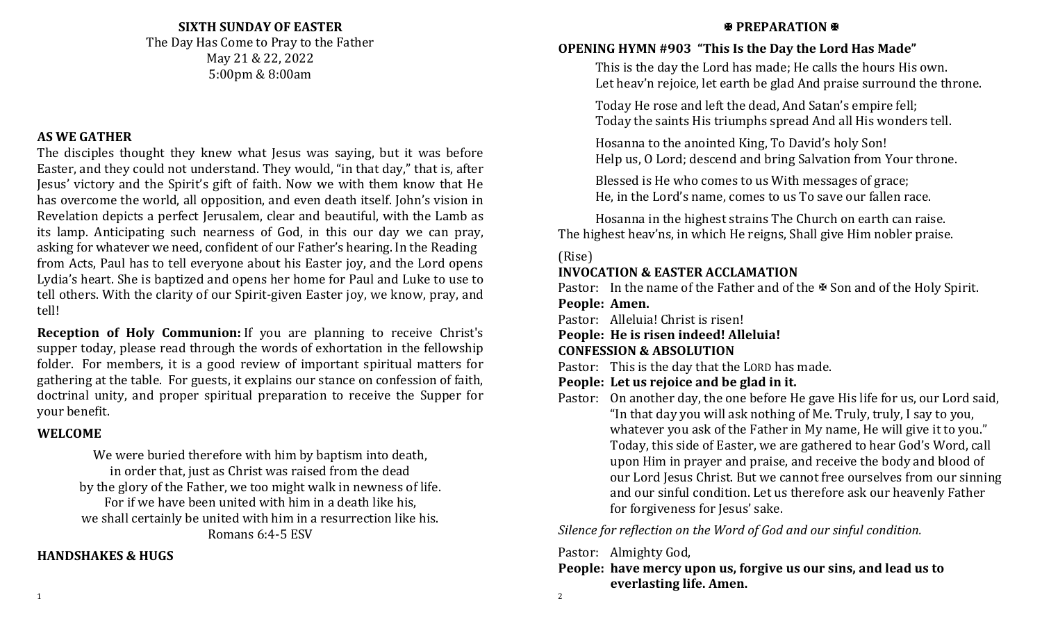#### **SIXTH SUNDAY OF EASTER**

The Day Has Come to Pray to the Father May 21 & 22, 2022 5:00pm & 8:00am

#### **AS WE GATHER**

The disciples thought they knew what Jesus was saying, but it was before Easter, and they could not understand. They would, "in that day," that is, after Jesus' victory and the Spirit's gift of faith. Now we with them know that He has overcome the world, all opposition, and even death itself. John's vision in Revelation depicts a perfect Jerusalem, clear and beautiful, with the Lamb as its lamp. Anticipating such nearness of God, in this our day we can pray, asking for whatever we need, confident of our Father's hearing. In the Reading from Acts, Paul has to tell everyone about his Easter joy, and the Lord opens Lydia's heart. She is baptized and opens her home for Paul and Luke to use to tell others. With the clarity of our Spirit-given Easter joy, we know, pray, and tell!

**Reception of Holy Communion:** If you are planning to receive Christ's supper today, please read through the words of exhortation in the fellowship folder. For members, it is a good review of important spiritual matters for gathering at the table. For guests, it explains our stance on confession of faith, doctrinal unity, and proper spiritual preparation to receive the Supper for your benefit.

#### **WELCOME**

We were buried therefore with him by baptism into death, in order that, just as Christ was raised from the dead by the glory of the Father, we too might walk in newness of life. For if we have been united with him in a death like his, we shall certainly be united with him in a resurrection like his. Romans 6:4-5 ESV

#### **HANDSHAKES & HUGS**

#### **EXPREPARATION <b>EXP**

#### **OPENING HYMN #903 "This Is the Day the Lord Has Made"**

This is the day the Lord has made; He calls the hours His own. Let heav'n rejoice, let earth be glad And praise surround the throne.

Today He rose and left the dead, And Satan's empire fell; Today the saints His triumphs spread And all His wonders tell.

Hosanna to the anointed King, To David's holy Son! Help us, O Lord; descend and bring Salvation from Your throne.

Blessed is He who comes to us With messages of grace; He, in the Lord's name, comes to us To save our fallen race.

Hosanna in the highest strains The Church on earth can raise. The highest heav'ns, in which He reigns, Shall give Him nobler praise.

#### (Rise)

#### **INVOCATION & EASTER ACCLAMATION**

Pastor: In the name of the Father and of the  $\mathcal B$  Son and of the Holy Spirit. **People: Amen.**

Pastor: Alleluia! Christ is risen!

**People: He is risen indeed! Alleluia!**

#### **CONFESSION & ABSOLUTION**

Pastor: This is the day that the LORD has made.

- **People: Let us rejoice and be glad in it.**
- Pastor: On another day, the one before He gave His life for us, our Lord said, "In that day you will ask nothing of Me. Truly, truly, I say to you, whatever you ask of the Father in My name, He will give it to you." Today, this side of Easter, we are gathered to hear God's Word, call upon Him in prayer and praise, and receive the body and blood of our Lord Jesus Christ. But we cannot free ourselves from our sinning and our sinful condition. Let us therefore ask our heavenly Father for forgiveness for Jesus' sake.

*Silence for reflection on the Word of God and our sinful condition.*

Pastor: Almighty God,

**People: have mercy upon us, forgive us our sins, and lead us to everlasting life. Amen.**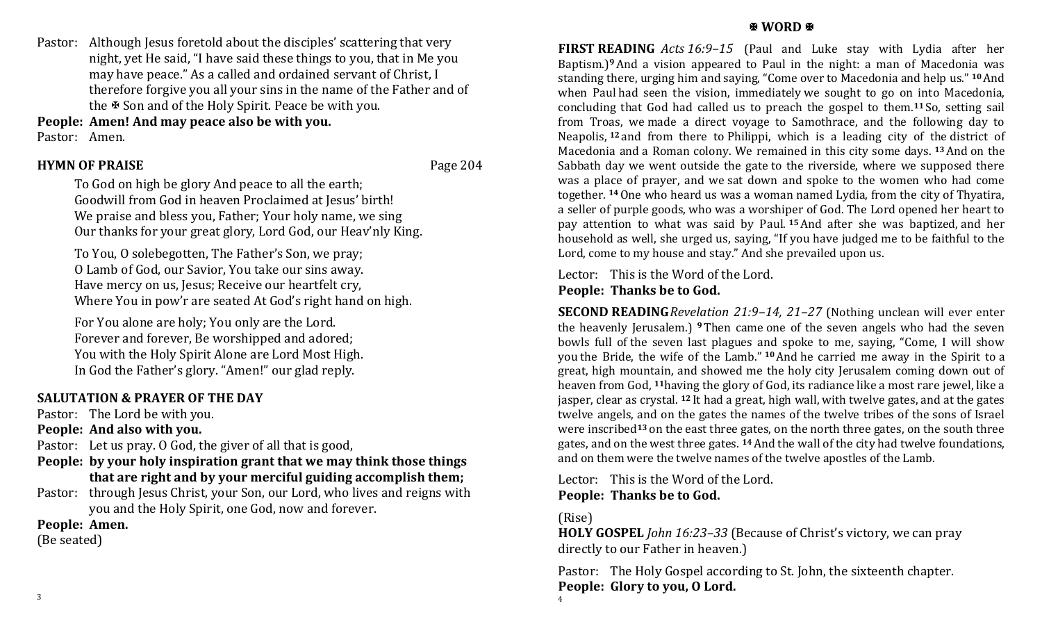Pastor: Although Jesus foretold about the disciples' scattering that very night, yet He said, "I have said these things to you, that in Me you may have peace." As a called and ordained servant of Christ, I therefore forgive you all your sins in the name of the Father and of the  $\Phi$  Son and of the Holy Spirit. Peace be with you.

**People: Amen! And may peace also be with you.**

Pastor: Amen.

#### **HYMN OF PRAISE** Page 204

To God on high be glory And peace to all the earth; Goodwill from God in heaven Proclaimed at Jesus' birth! We praise and bless you, Father; Your holy name, we sing Our thanks for your great glory, Lord God, our Heav'nly King.

To You, O solebegotten, The Father's Son, we pray; O Lamb of God, our Savior, You take our sins away. Have mercy on us, Jesus; Receive our heartfelt cry, Where You in pow'r are seated At God's right hand on high.

For You alone are holy; You only are the Lord. Forever and forever, Be worshipped and adored; You with the Holy Spirit Alone are Lord Most High. In God the Father's glory. "Amen!" our glad reply.

## **SALUTATION & PRAYER OF THE DAY**

Pastor: The Lord be with you.

**People: And also with you.**

Pastor: Let us pray. O God, the giver of all that is good,

- **People: by your holy inspiration grant that we may think those things that are right and by your merciful guiding accomplish them;**
- Pastor: through Jesus Christ, your Son, our Lord, who lives and reigns with you and the Holy Spirit, one God, now and forever.

**People: Amen.**

(Be seated)

#### **图 WORD 图**

**FIRST READING** *Acts 16:9–15* (Paul and Luke stay with Lydia after her Baptism.)**9**And a vision appeared to Paul in the night: a man of Macedonia was standing there, urging him and saying, "Come over to Macedonia and help us." **<sup>10</sup>**And when Paul had seen the vision, immediately we sought to go on into Macedonia, concluding that God had called us to preach the gospel to them.**<sup>11</sup>** So, setting sail from Troas, we made a direct voyage to Samothrace, and the following day to Neapolis, **<sup>12</sup>** and from there to Philippi, which is a leading city of the district of Macedonia and a Roman colony. We remained in this city some days. **<sup>13</sup>**And on the Sabbath day we went outside the gate to the riverside, where we supposed there was a place of prayer, and we sat down and spoke to the women who had come together. **<sup>14</sup>**One who heard us was a woman named Lydia, from the city of Thyatira, a seller of purple goods, who was a worshiper of God. The Lord opened her heart to pay attention to what was said by Paul. **<sup>15</sup>**And after she was baptized, and her household as well, she urged us, saying, "If you have judged me to be faithful to the Lord, come to my house and stay." And she prevailed upon us.

Lector: This is the Word of the Lord. **People: Thanks be to God.**

**SECOND READING***Revelation 21:9–14, 21–27* (Nothing unclean will ever enter the heavenly Jerusalem.) **<sup>9</sup>** Then came one of the seven angels who had the seven bowls full of the seven last plagues and spoke to me, saying, "Come, I will show you the Bride, the wife of the Lamb." **<sup>10</sup>**And he carried me away in the Spirit to a great, high mountain, and showed me the holy city Jerusalem coming down out of heaven from God, **<sup>11</sup>**having the glory of God, its radiance like a most rare jewel, like a jasper, clear as crystal. **<sup>12</sup>** It had a great, high wall, with twelve gates, and at the gates twelve angels, and on the gates the names of the twelve tribes of the sons of Israel were inscribed**<sup>13</sup>** on the east three gates, on the north three gates, on the south three gates, and on the west three gates. **<sup>14</sup>**And the wall of the city had twelve foundations, and on them were the twelve names of the twelve apostles of the Lamb.

Lector: This is the Word of the Lord. **People: Thanks be to God.**

(Rise)

**HOLY GOSPEL** *John 16:23–33* (Because of Christ's victory, we can pray directly to our Father in heaven.)

Pastor: The Holy Gospel according to St. John, the sixteenth chapter. **People: Glory to you, O Lord.**  4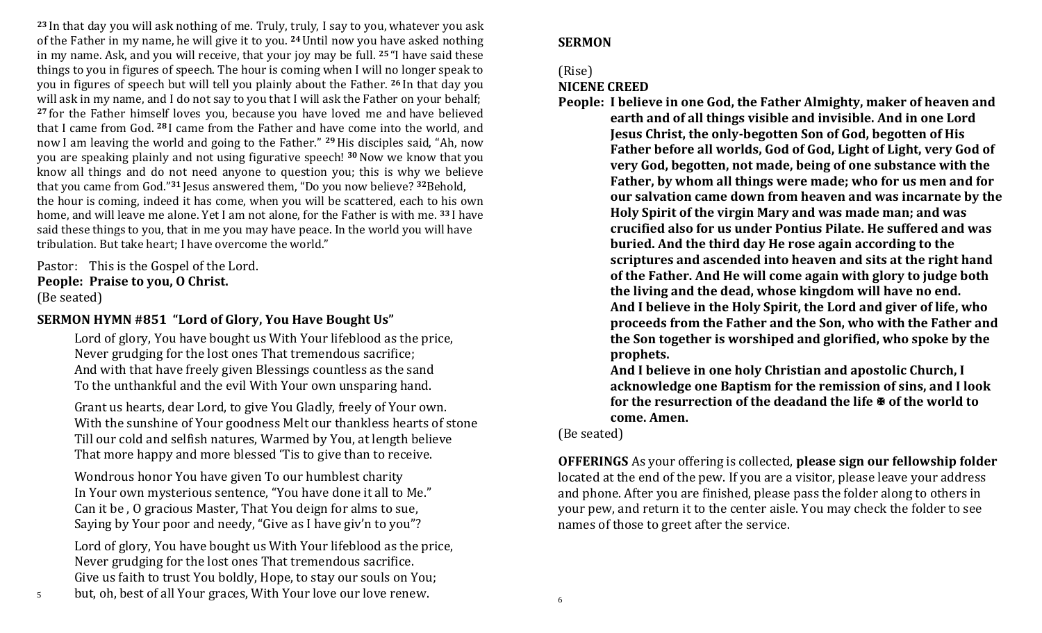**<sup>23</sup>** In that day you will ask nothing of me. Truly, truly, I say to you, whatever you ask of the Father in my name, he will give it to you. **<sup>24</sup>**Until now you have asked nothing in my name. Ask, and you will receive, that your joy may be full. **<sup>25</sup>** "I have said these things to you in figures of speech. The hour is coming when I will no longer speak to you in figures of speech but will tell you plainly about the Father. **<sup>26</sup>** In that day you will ask in my name, and I do not say to you that I will ask the Father on your behalf; **<sup>27</sup>** for the Father himself loves you, because you have loved me and have believed that I came from God. **<sup>28</sup>** I came from the Father and have come into the world, and now I am leaving the world and going to the Father." **29**His disciples said, "Ah, now you are speaking plainly and not using figurative speech! **<sup>30</sup>**Now we know that you know all things and do not need anyone to question you; this is why we believe that you came from God."**<sup>31</sup>** Jesus answered them, "Do you now believe? **<sup>32</sup>**Behold, the hour is coming, indeed it has come, when you will be scattered, each to his own home, and will leave me alone. Yet I am not alone, for the Father is with me. **<sup>33</sup>** I have said these things to you, that in me you may have peace. In the world you will have tribulation. But take heart; I have overcome the world."

Pastor: This is the Gospel of the Lord. **People: Praise to you, O Christ.** (Be seated)

#### **SERMON HYMN #851 "Lord of Glory, You Have Bought Us"**

Lord of glory, You have bought us With Your lifeblood as the price, Never grudging for the lost ones That tremendous sacrifice; And with that have freely given Blessings countless as the sand To the unthankful and the evil With Your own unsparing hand.

Grant us hearts, dear Lord, to give You Gladly, freely of Your own. With the sunshine of Your goodness Melt our thankless hearts of stone Till our cold and selfish natures, Warmed by You, at length believe That more happy and more blessed 'Tis to give than to receive.

Wondrous honor You have given To our humblest charity In Your own mysterious sentence, "You have done it all to Me." Can it be , O gracious Master, That You deign for alms to sue, Saying by Your poor and needy, "Give as I have giv'n to you"?

Lord of glory, You have bought us With Your lifeblood as the price, Never grudging for the lost ones That tremendous sacrifice. Give us faith to trust You boldly, Hope, to stay our souls on You;

#### **SERMON**

#### (Rise)

#### **NICENE CREED**

**People: I believe in one God, the Father Almighty, maker of heaven and earth and of all things visible and invisible. And in one Lord Jesus Christ, the only-begotten Son of God, begotten of His Father before all worlds, God of God, Light of Light, very God of very God, begotten, not made, being of one substance with the Father, by whom all things were made; who for us men and for our salvation came down from heaven and was incarnate by the Holy Spirit of the virgin Mary and was made man; and was crucified also for us under Pontius Pilate. He suffered and was buried. And the third day He rose again according to the scriptures and ascended into heaven and sits at the right hand of the Father. And He will come again with glory to judge both the living and the dead, whose kingdom will have no end. And I believe in the Holy Spirit, the Lord and giver of life, who proceeds from the Father and the Son, who with the Father and the Son together is worshiped and glorified, who spoke by the prophets.** 

**And I believe in one holy Christian and apostolic Church, I acknowledge one Baptism for the remission of sins, and I look for the resurrection of the deadand the life**  $\mathbf{\Psi}$  **of the world to come. Amen.**

(Be seated)

**OFFERINGS** As your offering is collected, **please sign our fellowship folder** located at the end of the pew. If you are a visitor, please leave your address and phone. After you are finished, please pass the folder along to others in your pew, and return it to the center aisle. You may check the folder to see names of those to greet after the service.

5 but, oh, best of all Your graces, With Your love our love renew.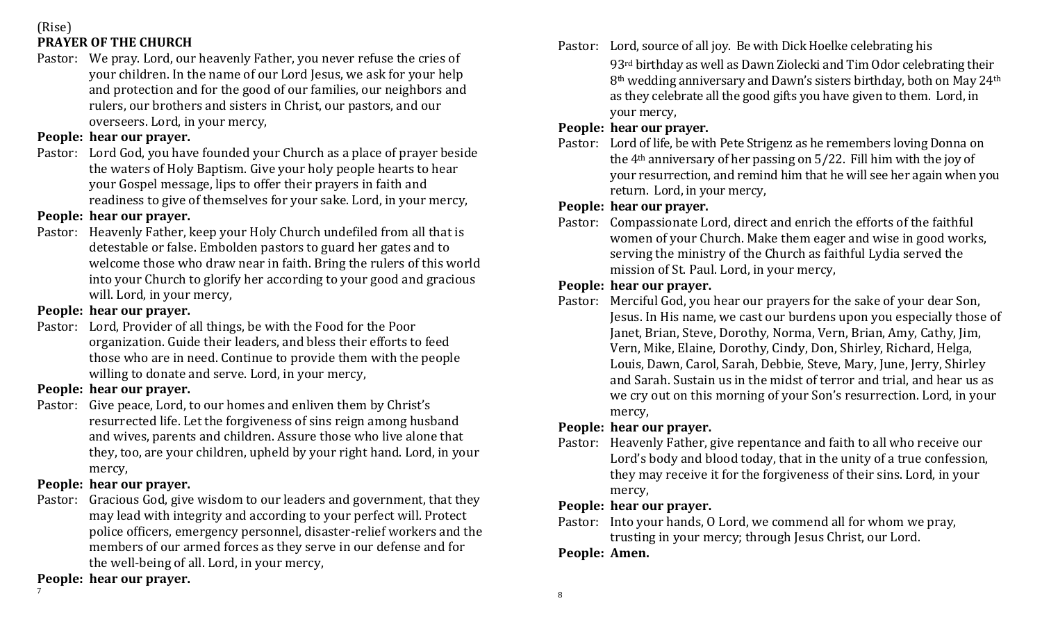(Rise)

# **PRAYER OF THE CHURCH**

Pastor: We pray. Lord, our heavenly Father, you never refuse the cries of your children. In the name of our Lord Jesus, we ask for your help and protection and for the good of our families, our neighbors and rulers, our brothers and sisters in Christ, our pastors, and our overseers. Lord, in your mercy,

### **People: hear our prayer.**

Pastor: Lord God, you have founded your Church as a place of prayer beside the waters of Holy Baptism. Give your holy people hearts to hear your Gospel message, lips to offer their prayers in faith and readiness to give of themselves for your sake. Lord, in your mercy,

# **People: hear our prayer.**

Pastor: Heavenly Father, keep your Holy Church undefiled from all that is detestable or false. Embolden pastors to guard her gates and to welcome those who draw near in faith. Bring the rulers of this world into your Church to glorify her according to your good and gracious will. Lord, in your mercy,

# **People: hear our prayer.**

Pastor: Lord, Provider of all things, be with the Food for the Poor organization. Guide their leaders, and bless their efforts to feed those who are in need. Continue to provide them with the people willing to donate and serve. Lord, in your mercy,

# **People: hear our prayer.**

Pastor: Give peace, Lord, to our homes and enliven them by Christ's resurrected life. Let the forgiveness of sins reign among husband and wives, parents and children. Assure those who live alone that they, too, are your children, upheld by your right hand. Lord, in your mercy,

# **People: hear our prayer.**

Pastor: Gracious God, give wisdom to our leaders and government, that they may lead with integrity and according to your perfect will. Protect police officers, emergency personnel, disaster-relief workers and the members of our armed forces as they serve in our defense and for the well-being of all. Lord, in your mercy,

**People: hear our prayer.**

7

Pastor: Lord, source of all joy. Be with Dick Hoelke celebrating his 93rd birthday as well as Dawn Ziolecki and Tim Odor celebrating their 8th wedding anniversary and Dawn's sisters birthday, both on May 24th as they celebrate all the good gifts you have given to them. Lord, in your mercy,

# **People: hear our prayer.**

Pastor: Lord of life, be with Pete Strigenz as he remembers loving Donna on the 4th anniversary of her passing on 5/22. Fill him with the joy of your resurrection, and remind him that he will see her again when you return. Lord, in your mercy,

# **People: hear our prayer.**

Pastor: Compassionate Lord, direct and enrich the efforts of the faithful women of your Church. Make them eager and wise in good works, serving the ministry of the Church as faithful Lydia served the mission of St. Paul. Lord, in your mercy,

# **People: hear our prayer.**

Pastor: Merciful God, you hear our prayers for the sake of your dear Son, Jesus. In His name, we cast our burdens upon you especially those of Janet, Brian, Steve, Dorothy, Norma, Vern, Brian, Amy, Cathy, Jim, Vern, Mike, Elaine, Dorothy, Cindy, Don, Shirley, Richard, Helga, Louis, Dawn, Carol, Sarah, Debbie, Steve, Mary, June, Jerry, Shirley and Sarah. Sustain us in the midst of terror and trial, and hear us as we cry out on this morning of your Son's resurrection. Lord, in your mercy,

## **People: hear our prayer.**

Pastor: Heavenly Father, give repentance and faith to all who receive our Lord's body and blood today, that in the unity of a true confession, they may receive it for the forgiveness of their sins. Lord, in your mercy,

## **People: hear our prayer.**

Pastor: Into your hands, O Lord, we commend all for whom we pray, trusting in your mercy; through Jesus Christ, our Lord.

## **People: Amen.**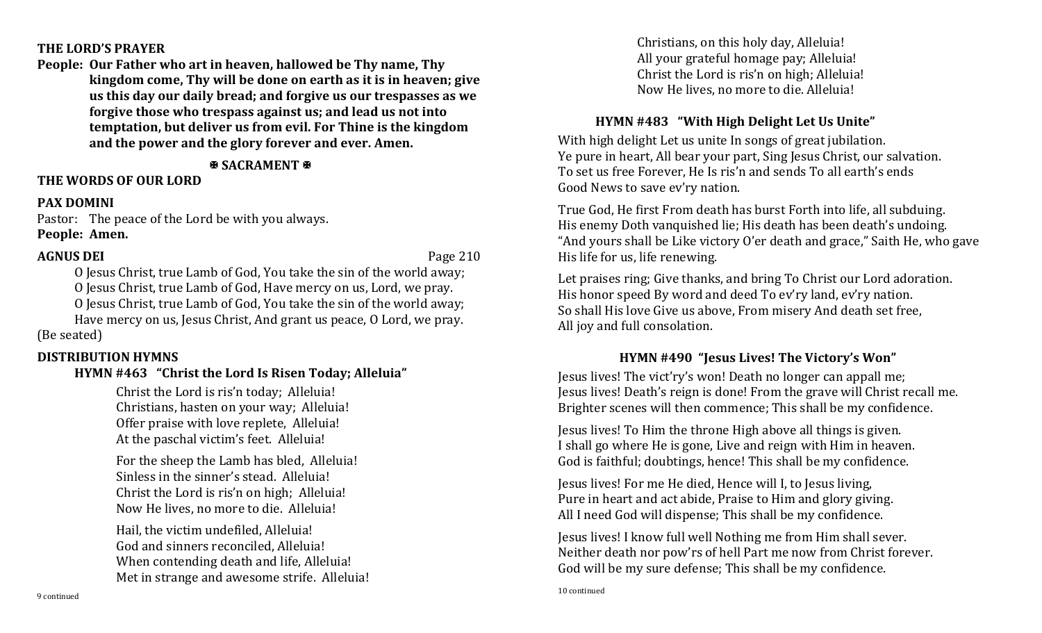#### **THE LORD'S PRAYER**

**People: Our Father who art in heaven, hallowed be Thy name, Thy kingdom come, Thy will be done on earth as it is in heaven; give us this day our daily bread; and forgive us our trespasses as we forgive those who trespass against us; and lead us not into temptation, but deliver us from evil. For Thine is the kingdom and the power and the glory forever and ever. Amen.**

**B SACRAMENT &** 

# **THE WORDS OF OUR LORD**

### **PAX DOMINI**

Pastor: The peace of the Lord be with you always. **People: Amen.**

### **AGNUS DEI** Page 210

O Jesus Christ, true Lamb of God, You take the sin of the world away; O Jesus Christ, true Lamb of God, Have mercy on us, Lord, we pray.

O Jesus Christ, true Lamb of God, You take the sin of the world away;

Have mercy on us, Jesus Christ, And grant us peace, O Lord, we pray. (Be seated)

## **DISTRIBUTION HYMNS**

# **HYMN #463 "Christ the Lord Is Risen Today; Alleluia"**

Christ the Lord is ris'n today; Alleluia! Christians, hasten on your way; Alleluia! Offer praise with love replete, Alleluia! At the paschal victim's feet. Alleluia!

For the sheep the Lamb has bled, Alleluia! Sinless in the sinner's stead. Alleluia! Christ the Lord is ris'n on high; Alleluia! Now He lives, no more to die. Alleluia!

Hail, the victim undefiled, Alleluia! God and sinners reconciled, Alleluia! When contending death and life, Alleluia! Met in strange and awesome strife. Alleluia! Christians, on this holy day, Alleluia! All your grateful homage pay; Alleluia! Christ the Lord is ris'n on high; Alleluia! Now He lives, no more to die. Alleluia!

# **HYMN #483 "With High Delight Let Us Unite"**

With high delight Let us unite In songs of great jubilation. Ye pure in heart, All bear your part, Sing Jesus Christ, our salvation. To set us free Forever, He Is ris'n and sends To all earth's ends Good News to save ev'ry nation.

True God, He first From death has burst Forth into life, all subduing. His enemy Doth vanquished lie; His death has been death's undoing. "And yours shall be Like victory O'er death and grace," Saith He, who gave His life for us, life renewing.

Let praises ring; Give thanks, and bring To Christ our Lord adoration. His honor speed By word and deed To ev'ry land, ev'ry nation. So shall His love Give us above, From misery And death set free, All joy and full consolation.

# **HYMN #490 "Jesus Lives! The Victory's Won"**

Jesus lives! The vict'ry's won! Death no longer can appall me; Jesus lives! Death's reign is done! From the grave will Christ recall me. Brighter scenes will then commence; This shall be my confidence.

Jesus lives! To Him the throne High above all things is given. I shall go where He is gone, Live and reign with Him in heaven. God is faithful; doubtings, hence! This shall be my confidence.

Jesus lives! For me He died, Hence will I, to Jesus living, Pure in heart and act abide, Praise to Him and glory giving. All I need God will dispense; This shall be my confidence.

Jesus lives! I know full well Nothing me from Him shall sever. Neither death nor pow'rs of hell Part me now from Christ forever. God will be my sure defense; This shall be my confidence.

10 continued